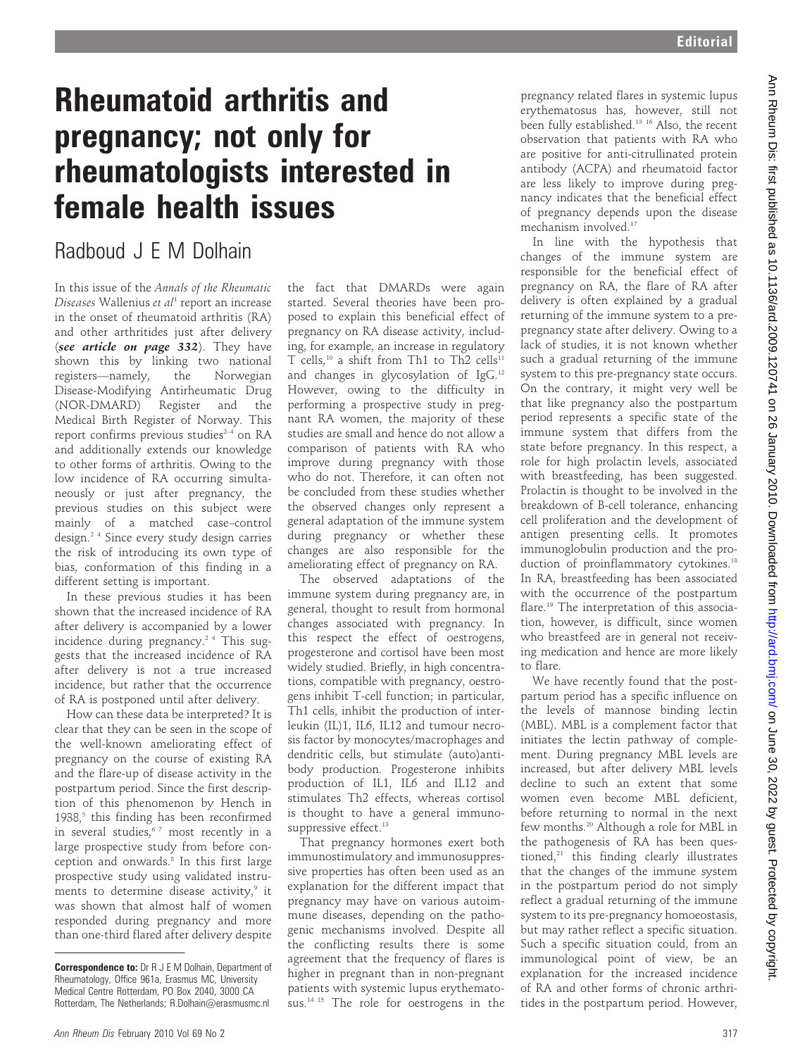## Rheumatoid arthritis and pregnancy; not only for rheumatologists interested in female health issues

## Radboud J E M Dolhain

In this issue of the Annals of the Rheumatic Diseases Wallenius et al<sup>1</sup> report an increase in the onset of rheumatoid arthritis (RA) and other arthritides just after delivery (see article on page 332). They have shown this by linking two national registers—namely, the Norwegian Disease-Modifying Antirheumatic Drug (NOR-DMARD) Register and the Medical Birth Register of Norway. This report confirms previous studies $2-4$  on RA and additionally extends our knowledge to other forms of arthritis. Owing to the low incidence of RA occurring simultaneously or just after pregnancy, the previous studies on this subject were mainly of a matched case–control design.2 4 Since every study design carries the risk of introducing its own type of bias, conformation of this finding in a different setting is important.

In these previous studies it has been shown that the increased incidence of RA after delivery is accompanied by a lower incidence during pregnancy.<sup>24</sup> This suggests that the increased incidence of RA after delivery is not a true increased incidence, but rather that the occurrence of RA is postponed until after delivery.

How can these data be interpreted? It is clear that they can be seen in the scope of the well-known ameliorating effect of pregnancy on the course of existing RA and the flare-up of disease activity in the postpartum period. Since the first description of this phenomenon by Hench in 1938, $5$  this finding has been reconfirmed in several studies, $67$  most recently in a large prospective study from before conception and onwards.<sup>8</sup> In this first large prospective study using validated instruments to determine disease activity,<sup>9</sup> it was shown that almost half of women responded during pregnancy and more than one-third flared after delivery despite

the fact that DMARDs were again started. Several theories have been proposed to explain this beneficial effect of pregnancy on RA disease activity, including, for example, an increase in regulatory T cells,<sup>10</sup> a shift from Th1 to Th2 cells<sup>11</sup> and changes in glycosylation of IgG.12 However, owing to the difficulty in performing a prospective study in pregnant RA women, the majority of these studies are small and hence do not allow a comparison of patients with RA who improve during pregnancy with those who do not. Therefore, it can often not be concluded from these studies whether the observed changes only represent a general adaptation of the immune system during pregnancy or whether these changes are also responsible for the ameliorating effect of pregnancy on RA.

The observed adaptations of the immune system during pregnancy are, in general, thought to result from hormonal changes associated with pregnancy. In this respect the effect of oestrogens, progesterone and cortisol have been most widely studied. Briefly, in high concentrations, compatible with pregnancy, oestrogens inhibit T-cell function; in particular, Th1 cells, inhibit the production of interleukin (IL)1, IL6, IL12 and tumour necrosis factor by monocytes/macrophages and dendritic cells, but stimulate (auto)antibody production. Progesterone inhibits production of IL1, IL6 and IL12 and stimulates Th2 effects, whereas cortisol is thought to have a general immunosuppressive effect.<sup>13</sup>

That pregnancy hormones exert both immunostimulatory and immunosuppressive properties has often been used as an explanation for the different impact that pregnancy may have on various autoimmune diseases, depending on the pathogenic mechanisms involved. Despite all the conflicting results there is some agreement that the frequency of flares is higher in pregnant than in non-pregnant patients with systemic lupus erythematosus.<sup>14 15</sup> The role for oestrogens in the

pregnancy related flares in systemic lupus erythematosus has, however, still not been fully established.13 16 Also, the recent observation that patients with RA who are positive for anti-citrullinated protein antibody (ACPA) and rheumatoid factor are less likely to improve during pregnancy indicates that the beneficial effect of pregnancy depends upon the disease mechanism involved.17

In line with the hypothesis that changes of the immune system are responsible for the beneficial effect of pregnancy on RA, the flare of RA after delivery is often explained by a gradual returning of the immune system to a prepregnancy state after delivery. Owing to a lack of studies, it is not known whether such a gradual returning of the immune system to this pre-pregnancy state occurs. On the contrary, it might very well be that like pregnancy also the postpartum period represents a specific state of the immune system that differs from the state before pregnancy. In this respect, a role for high prolactin levels, associated with breastfeeding, has been suggested. Prolactin is thought to be involved in the breakdown of B-cell tolerance, enhancing cell proliferation and the development of antigen presenting cells. It promotes immunoglobulin production and the production of proinflammatory cytokines.<sup>18</sup> In RA, breastfeeding has been associated with the occurrence of the postpartum flare.19 The interpretation of this association, however, is difficult, since women who breastfeed are in general not receiving medication and hence are more likely to flare.

We have recently found that the postpartum period has a specific influence on the levels of mannose binding lectin (MBL). MBL is a complement factor that initiates the lectin pathway of complement. During pregnancy MBL levels are increased, but after delivery MBL levels decline to such an extent that some women even become MBL deficient, before returning to normal in the next few months.<sup>20</sup> Although a role for MBL in the pathogenesis of RA has been questioned,<sup>21</sup> this finding clearly illustrates that the changes of the immune system in the postpartum period do not simply reflect a gradual returning of the immune system to its pre-pregnancy homoeostasis, but may rather reflect a specific situation. Such a specific situation could, from an immunological point of view, be an explanation for the increased incidence of RA and other forms of chronic arthritides in the postpartum period. However,

Correspondence to: Dr R J E M Dolhain, Department of Rheumatology, Office 961a, Erasmus MC, University Medical Centre Rotterdam, PO Box 2040, 3000 CA Rotterdam, The Netherlands; R.Dolhain@erasmusmc.nl